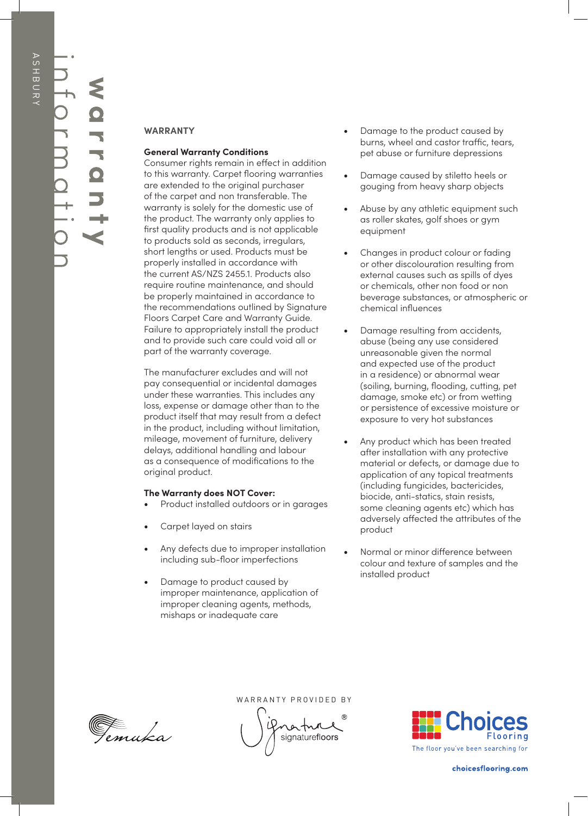## **warranty** information

## **WARRANTY**

## **General Warranty Conditions**

Consumer rights remain in effect in addition to this warranty. Carpet flooring warranties are extended to the original purchaser of the carpet and non transferable. The warranty is solely for the domestic use of the product. The warranty only applies to first quality products and is not applicable to products sold as seconds, irregulars, short lengths or used. Products must be properly installed in accordance with the current AS/NZS 2455.1. Products also require routine maintenance, and should be properly maintained in accordance to the recommendations outlined by Signature Floors Carpet Care and Warranty Guide. Failure to appropriately install the product and to provide such care could void all or part of the warranty coverage.

The manufacturer excludes and will not pay consequential or incidental damages under these warranties. This includes any loss, expense or damage other than to the product itself that may result from a defect in the product, including without limitation, mileage, movement of furniture, delivery delays, additional handling and labour as a consequence of modifications to the original product.

## **The Warranty does NOT Cover:**

- Product installed outdoors or in garages
- Carpet layed on stairs
- Any defects due to improper installation including sub-floor imperfections
- Damage to product caused by improper maintenance, application of improper cleaning agents, methods, mishaps or inadequate care
- Damage to the product caused by burns, wheel and castor traffic, tears, pet abuse or furniture depressions
- Damage caused by stiletto heels or gouging from heavy sharp objects
- Abuse by any athletic equipment such as roller skates, golf shoes or gym equipment
- Changes in product colour or fading or other discolouration resulting from external causes such as spills of dyes or chemicals, other non food or non beverage substances, or atmospheric or chemical influences
- Damage resulting from accidents, abuse (being any use considered unreasonable given the normal and expected use of the product in a residence) or abnormal wear (soiling, burning, flooding, cutting, pet damage, smoke etc) or from wetting or persistence of excessive moisture or exposure to very hot substances
- Any product which has been treated after installation with any protective material or defects, or damage due to application of any topical treatments (including fungicides, bactericides, biocide, anti-statics, stain resists, some cleaning agents etc) which has adversely affected the attributes of the product
- Normal or minor difference between colour and texture of samples and the installed product

Femuka

WARRANTY PROVIDED BY WARRANTY PROVIDED BY

vatn signaturefloors

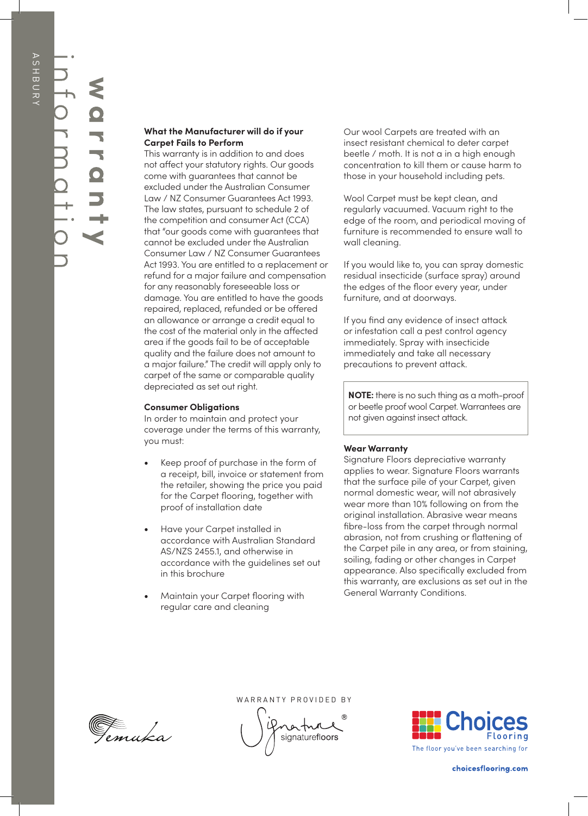## **warranty** information

## **What the Manufacturer will do if your Carpet Fails to Perform**

This warranty is in addition to and does not affect your statutory rights. Our goods come with guarantees that cannot be excluded under the Australian Consumer Law / NZ Consumer Guarantees Act 1993. The law states, pursuant to schedule 2 of the competition and consumer Act (CCA) that "our goods come with guarantees that cannot be excluded under the Australian Consumer Law / NZ Consumer Guarantees Act 1993. You are entitled to a replacement or refund for a major failure and compensation for any reasonably foreseeable loss or damage. You are entitled to have the goods repaired, replaced, refunded or be offered an allowance or arrange a credit equal to the cost of the material only in the affected area if the goods fail to be of acceptable quality and the failure does not amount to a major failure." The credit will apply only to carpet of the same or comparable quality depreciated as set out right.

## **Consumer Obligations**

In order to maintain and protect your coverage under the terms of this warranty, you must:

- Keep proof of purchase in the form of a receipt, bill, invoice or statement from the retailer, showing the price you paid for the Carpet flooring, together with proof of installation date
- Have your Carpet installed in accordance with Australian Standard AS/NZS 2455.1, and otherwise in accordance with the guidelines set out in this brochure
- Maintain your Carpet flooring with regular care and cleaning

Our wool Carpets are treated with an insect resistant chemical to deter carpet beetle / moth. It is not a in a high enough concentration to kill them or cause harm to those in your household including pets.

Wool Carpet must be kept clean, and regularly vacuumed. Vacuum right to the edge of the room, and periodical moving of furniture is recommended to ensure wall to wall cleaning.

If you would like to, you can spray domestic residual insecticide (surface spray) around the edges of the floor every year, under furniture, and at doorways.

If you find any evidence of insect attack or infestation call a pest control agency immediately. Spray with insecticide immediately and take all necessary precautions to prevent attack.

**NOTE:** there is no such thing as a moth-proof or beetle proof wool Carpet. Warrantees are not given against insect attack.

## **Wear Warranty**

Signature Floors depreciative warranty applies to wear. Signature Floors warrants that the surface pile of your Carpet, given normal domestic wear, will not abrasively wear more than 10% following on from the original installation. Abrasive wear means fibre-loss from the carpet through normal abrasion, not from crushing or flattening of the Carpet pile in any area, or from staining, soiling, fading or other changes in Carpet appearance. Also specifically excluded from this warranty, are exclusions as set out in the General Warranty Conditions.



WARRANTY PROVIDED BY WARRANTY PROVIDED BY

ratn signaturefloors

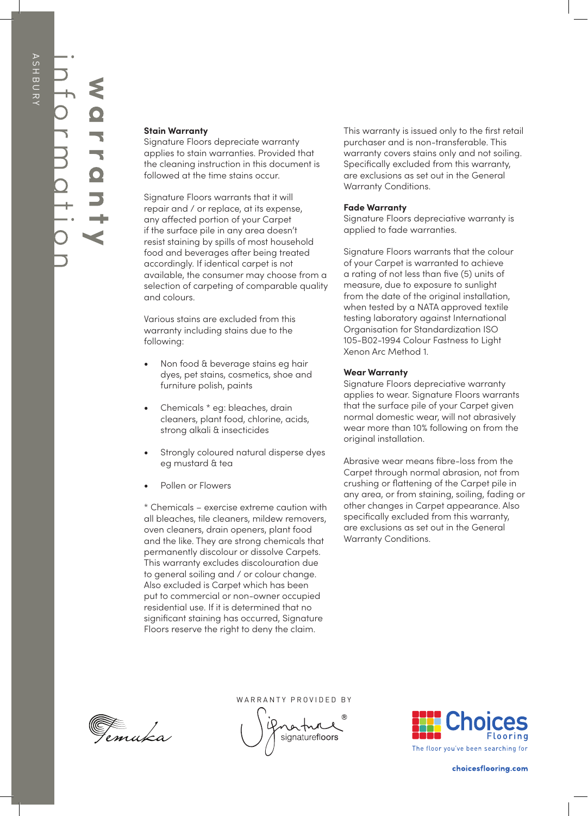**warranty**

## **Stain Warranty**

Signature Floors depreciate warranty applies to stain warranties. Provided that the cleaning instruction in this document is followed at the time stains occur.

Signature Floors warrants that it will repair and / or replace, at its expense, any affected portion of your Carpet if the surface pile in any area doesn't resist staining by spills of most household food and beverages after being treated accordingly. If identical carpet is not available, the consumer may choose from a selection of carpeting of comparable quality and colours.

Various stains are excluded from this warranty including stains due to the following:

- Non food & beverage stains eg hair dyes, pet stains, cosmetics, shoe and furniture polish, paints
- Chemicals \* eg: bleaches, drain cleaners, plant food, chlorine, acids, strong alkali & insecticides
- Strongly coloured natural disperse dyes eg mustard & tea
- Pollen or Flowers

\* Chemicals – exercise extreme caution with all bleaches, tile cleaners, mildew removers, oven cleaners, drain openers, plant food and the like. They are strong chemicals that permanently discolour or dissolve Carpets. This warranty excludes discolouration due to general soiling and / or colour change. Also excluded is Carpet which has been put to commercial or non-owner occupied residential use. If it is determined that no significant staining has occurred, Signature Floors reserve the right to deny the claim.

This warranty is issued only to the first retail purchaser and is non-transferable. This warranty covers stains only and not soiling. Specifically excluded from this warranty, are exclusions as set out in the General Warranty Conditions.

## **Fade Warranty**

Signature Floors depreciative warranty is applied to fade warranties.

Signature Floors warrants that the colour of your Carpet is warranted to achieve a rating of not less than five (5) units of measure, due to exposure to sunlight from the date of the original installation, when tested by a NATA approved textile testing laboratory against International Organisation for Standardization ISO 105-B02-1994 Colour Fastness to Light Xenon Arc Method 1.

## **Wear Warranty**

Signature Floors depreciative warranty applies to wear. Signature Floors warrants that the surface pile of your Carpet given normal domestic wear, will not abrasively wear more than 10% following on from the original installation.

Abrasive wear means fibre-loss from the Carpet through normal abrasion, not from crushing or flattening of the Carpet pile in any area, or from staining, soiling, fading or other changes in Carpet appearance. Also specifically excluded from this warranty, are exclusions as set out in the General Warranty Conditions.



WARRANTY PROVIDED BY WARRANTY PROVIDED BY

ratn signaturefloors